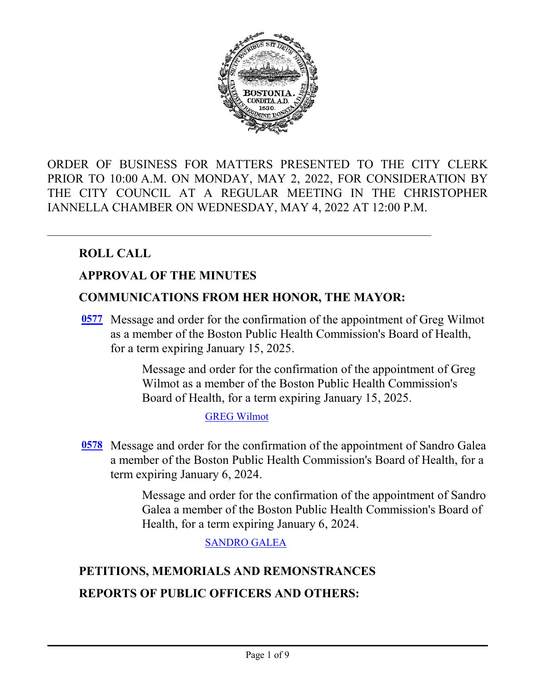

ORDER OF BUSINESS FOR MATTERS PRESENTED TO THE CITY CLERK PRIOR TO 10:00 A.M. ON MONDAY, MAY 2, 2022, FOR CONSIDERATION BY THE CITY COUNCIL AT A REGULAR MEETING IN THE CHRISTOPHER IANNELLA CHAMBER ON WEDNESDAY, MAY 4, 2022 AT 12:00 P.M.

# **ROLL CALL**

### **APPROVAL OF THE MINUTES**

### **COMMUNICATIONS FROM HER HONOR, THE MAYOR:**

[0577](http://boston.legistar.com/gateway.aspx?m=l&id=/matter.aspx?key=5727) Message and order for the confirmation of the appointment of Greg Wilmot as a member of the Boston Public Health Commission's Board of Health, for a term expiring January 15, 2025.

> Message and order for the confirmation of the appointment of Greg Wilmot as a member of the Boston Public Health Commission's Board of Health, for a term expiring January 15, 2025.

#### [GREG Wilmot](http://boston.legistar.com/gateway.aspx?M=F&ID=ea014676-639c-4ea2-bdef-4e8bfa208efd.pdf)

[0578](http://boston.legistar.com/gateway.aspx?m=l&id=/matter.aspx?key=5728) Message and order for the confirmation of the appointment of Sandro Galea a member of the Boston Public Health Commission's Board of Health, for a term expiring January 6, 2024.

> Message and order for the confirmation of the appointment of Sandro Galea a member of the Boston Public Health Commission's Board of Health, for a term expiring January 6, 2024.

> > [SANDRO GALEA](http://boston.legistar.com/gateway.aspx?M=F&ID=1dc60220-5c92-474f-b748-84268dad92e5.pdf)

# **PETITIONS, MEMORIALS AND REMONSTRANCES REPORTS OF PUBLIC OFFICERS AND OTHERS:**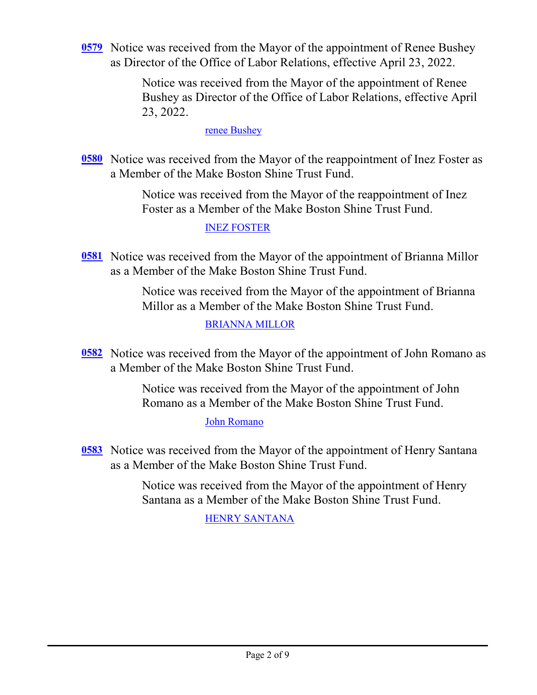[0579](http://boston.legistar.com/gateway.aspx?m=l&id=/matter.aspx?key=5703) Notice was received from the Mayor of the appointment of Renee Bushey as Director of the Office of Labor Relations, effective April 23, 2022.

> Notice was received from the Mayor of the appointment of Renee Bushey as Director of the Office of Labor Relations, effective April 23, 2022.

#### [renee Bushey](http://boston.legistar.com/gateway.aspx?M=F&ID=4b6c5dcd-343e-4e1b-abcd-149e2f5e8d39.pdf)

[0580](http://boston.legistar.com/gateway.aspx?m=l&id=/matter.aspx?key=5730) Notice was received from the Mayor of the reappointment of Inez Foster as a Member of the Make Boston Shine Trust Fund.

> Notice was received from the Mayor of the reappointment of Inez Foster as a Member of the Make Boston Shine Trust Fund.

#### [INEZ FOSTER](http://boston.legistar.com/gateway.aspx?M=F&ID=c8a1ae8b-10dc-49cf-8b83-90fda5e6fc6e.pdf)

[0581](http://boston.legistar.com/gateway.aspx?m=l&id=/matter.aspx?key=5732) Notice was received from the Mayor of the appointment of Brianna Millor as a Member of the Make Boston Shine Trust Fund.

> Notice was received from the Mayor of the appointment of Brianna Millor as a Member of the Make Boston Shine Trust Fund.

#### [BRIANNA MILLOR](http://boston.legistar.com/gateway.aspx?M=F&ID=25ff162e-bac9-48c2-b0d3-9c70ede9a735.pdf)

[0582](http://boston.legistar.com/gateway.aspx?m=l&id=/matter.aspx?key=5733) Notice was received from the Mayor of the appointment of John Romano as a Member of the Make Boston Shine Trust Fund.

> Notice was received from the Mayor of the appointment of John Romano as a Member of the Make Boston Shine Trust Fund.

#### [John Romano](http://boston.legistar.com/gateway.aspx?M=F&ID=73893bdc-ae6e-40ed-9996-bdf897979cf0.pdf)

[0583](http://boston.legistar.com/gateway.aspx?m=l&id=/matter.aspx?key=5734) Notice was received from the Mayor of the appointment of Henry Santana as a Member of the Make Boston Shine Trust Fund.

> Notice was received from the Mayor of the appointment of Henry Santana as a Member of the Make Boston Shine Trust Fund.

### [HENRY SANTANA](http://boston.legistar.com/gateway.aspx?M=F&ID=935d8c1e-3440-4707-9693-fe00ba97441a.pdf)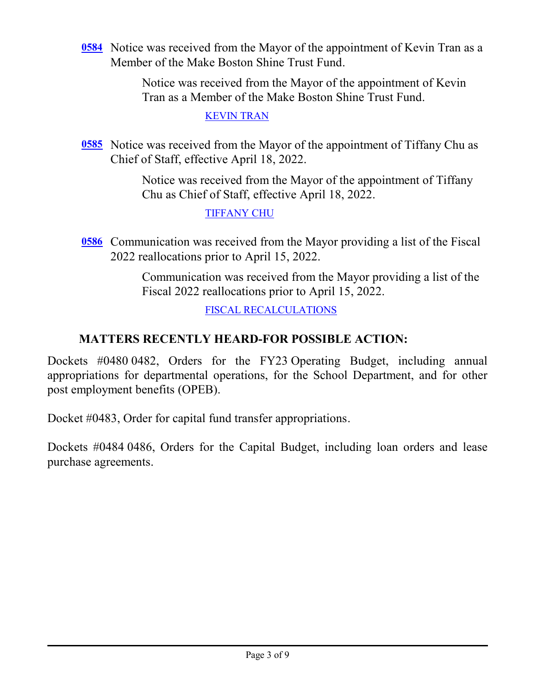[0584](http://boston.legistar.com/gateway.aspx?m=l&id=/matter.aspx?key=5735) Notice was received from the Mayor of the appointment of Kevin Tran as a Member of the Make Boston Shine Trust Fund.

> Notice was received from the Mayor of the appointment of Kevin Tran as a Member of the Make Boston Shine Trust Fund.

> > [KEVIN TRAN](http://boston.legistar.com/gateway.aspx?M=F&ID=87c706eb-0373-45cf-b643-a68cb3272ddc.pdf)

[0585](http://boston.legistar.com/gateway.aspx?m=l&id=/matter.aspx?key=5736) Notice was received from the Mayor of the appointment of Tiffany Chu as Chief of Staff, effective April 18, 2022.

> Notice was received from the Mayor of the appointment of Tiffany Chu as Chief of Staff, effective April 18, 2022.

### [TIFFANY CHU](http://boston.legistar.com/gateway.aspx?M=F&ID=c462d6e2-4014-4897-95c3-1fcf518830da.pdf)

**[0586](http://boston.legistar.com/gateway.aspx?m=l&id=/matter.aspx?key=5737)** Communication was received from the Mayor providing a list of the Fiscal 2022 reallocations prior to April 15, 2022.

> Communication was received from the Mayor providing a list of the Fiscal 2022 reallocations prior to April 15, 2022.

> > [FISCAL RECALCULATIONS](http://boston.legistar.com/gateway.aspx?M=F&ID=5f32e823-1374-4376-90f0-8550b7caf8e4.pdf)

# **MATTERS RECENTLY HEARD-FOR POSSIBLE ACTION:**

Dockets #0480 0482, Orders for the FY23 Operating Budget, including annual appropriations for departmental operations, for the School Department, and for other post employment benefits (OPEB).

Docket #0483, Order for capital fund transfer appropriations.

Dockets #0484 0486, Orders for the Capital Budget, including loan orders and lease purchase agreements.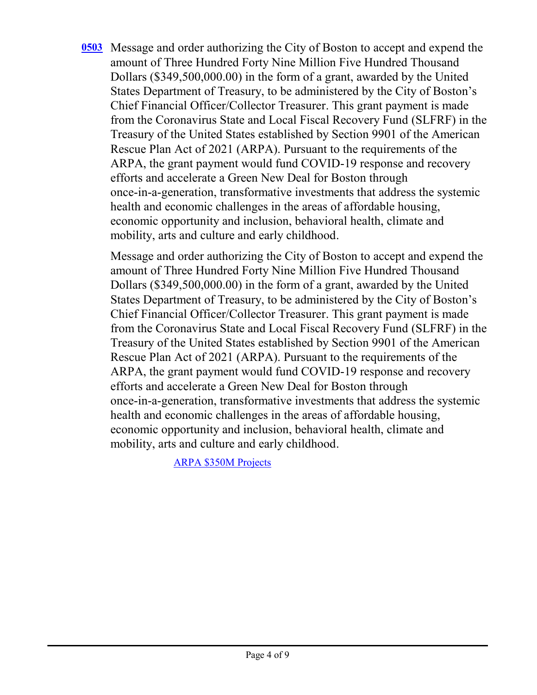[0503](http://boston.legistar.com/gateway.aspx?m=l&id=/matter.aspx?key=5629) Message and order authorizing the City of Boston to accept and expend the amount of Three Hundred Forty Nine Million Five Hundred Thousand Dollars (\$349,500,000.00) in the form of a grant, awarded by the United States Department of Treasury, to be administered by the City of Boston's Chief Financial Officer/Collector Treasurer. This grant payment is made from the Coronavirus State and Local Fiscal Recovery Fund (SLFRF) in the Treasury of the United States established by Section 9901 of the American Rescue Plan Act of 2021 (ARPA). Pursuant to the requirements of the ARPA, the grant payment would fund COVID-19 response and recovery efforts and accelerate a Green New Deal for Boston through once-in-a-generation, transformative investments that address the systemic health and economic challenges in the areas of affordable housing, economic opportunity and inclusion, behavioral health, climate and mobility, arts and culture and early childhood.

Message and order authorizing the City of Boston to accept and expend the amount of Three Hundred Forty Nine Million Five Hundred Thousand Dollars (\$349,500,000.00) in the form of a grant, awarded by the United States Department of Treasury, to be administered by the City of Boston's Chief Financial Officer/Collector Treasurer. This grant payment is made from the Coronavirus State and Local Fiscal Recovery Fund (SLFRF) in the Treasury of the United States established by Section 9901 of the American Rescue Plan Act of 2021 (ARPA). Pursuant to the requirements of the ARPA, the grant payment would fund COVID-19 response and recovery efforts and accelerate a Green New Deal for Boston through once-in-a-generation, transformative investments that address the systemic health and economic challenges in the areas of affordable housing, economic opportunity and inclusion, behavioral health, climate and mobility, arts and culture and early childhood.

[ARPA \\$350M Projects](http://boston.legistar.com/gateway.aspx?M=F&ID=a2455d72-46b1-4fc6-a1d5-474b2dad53f7.pdf)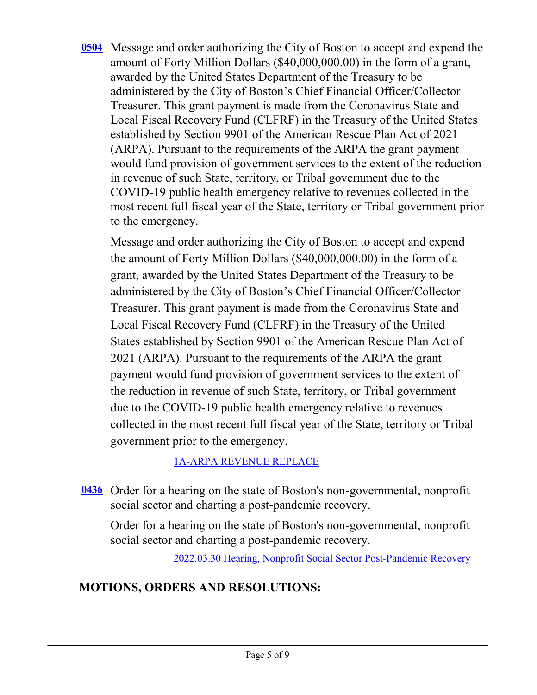[0504](http://boston.legistar.com/gateway.aspx?m=l&id=/matter.aspx?key=5606) Message and order authorizing the City of Boston to accept and expend the amount of Forty Million Dollars (\$40,000,000.00) in the form of a grant, awarded by the United States Department of the Treasury to be administered by the City of Boston's Chief Financial Officer/Collector Treasurer. This grant payment is made from the Coronavirus State and Local Fiscal Recovery Fund (CLFRF) in the Treasury of the United States established by Section 9901 of the American Rescue Plan Act of 2021 (ARPA). Pursuant to the requirements of the ARPA the grant payment would fund provision of government services to the extent of the reduction in revenue of such State, territory, or Tribal government due to the COVID-19 public health emergency relative to revenues collected in the most recent full fiscal year of the State, territory or Tribal government prior to the emergency.

Message and order authorizing the City of Boston to accept and expend the amount of Forty Million Dollars (\$40,000,000.00) in the form of a grant, awarded by the United States Department of the Treasury to be administered by the City of Boston's Chief Financial Officer/Collector Treasurer. This grant payment is made from the Coronavirus State and Local Fiscal Recovery Fund (CLFRF) in the Treasury of the United States established by Section 9901 of the American Rescue Plan Act of 2021 (ARPA). Pursuant to the requirements of the ARPA the grant payment would fund provision of government services to the extent of the reduction in revenue of such State, territory, or Tribal government due to the COVID-19 public health emergency relative to revenues collected in the most recent full fiscal year of the State, territory or Tribal government prior to the emergency.

# [1A-ARPA REVENUE REPLACE](http://boston.legistar.com/gateway.aspx?M=F&ID=fca94999-57f0-4cde-a006-1f25ee2f263e.pdf)

[0436](http://boston.legistar.com/gateway.aspx?m=l&id=/matter.aspx?key=5538) Order for a hearing on the state of Boston's non-governmental, nonprofit social sector and charting a post-pandemic recovery.

Order for a hearing on the state of Boston's non-governmental, nonprofit social sector and charting a post-pandemic recovery.

[2022.03.30 Hearing, Nonprofit Social Sector Post-Pandemic Recovery](http://boston.legistar.com/gateway.aspx?M=F&ID=149304f2-5ec4-4dd4-8c70-319226615995.pdf)

# **MOTIONS, ORDERS AND RESOLUTIONS:**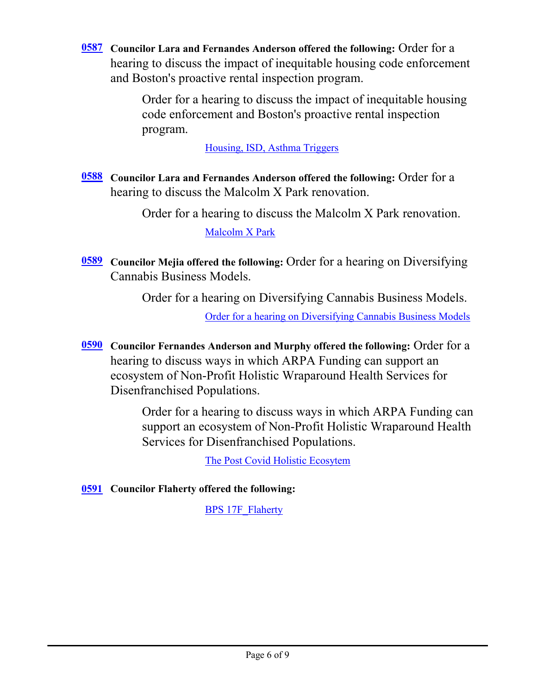**Councilor Lara and Fernandes Anderson offered the following:** Order for a **[0587](http://boston.legistar.com/gateway.aspx?m=l&id=/matter.aspx?key=5714)** hearing to discuss the impact of inequitable housing code enforcement and Boston's proactive rental inspection program.

> Order for a hearing to discuss the impact of inequitable housing code enforcement and Boston's proactive rental inspection program.

> > [Housing, ISD, Asthma Triggers](http://boston.legistar.com/gateway.aspx?M=F&ID=28de8ee6-ea9f-462b-944f-925138bb12ee.pdf)

**Councilor Lara and Fernandes Anderson offered the following:** Order for a **[0588](http://boston.legistar.com/gateway.aspx?m=l&id=/matter.aspx?key=5723)** hearing to discuss the Malcolm X Park renovation.

> Order for a hearing to discuss the Malcolm X Park renovation. [Malcolm X Park](http://boston.legistar.com/gateway.aspx?M=F&ID=863fbcdc-85fc-41df-bf5f-a8f2fe7f4015.pdf)

**Councilor Mejia offered the following:** Order for a hearing on Diversifying **[0589](http://boston.legistar.com/gateway.aspx?m=l&id=/matter.aspx?key=5724)** Cannabis Business Models.

Order for a hearing on Diversifying Cannabis Business Models.

[Order for a hearing on Diversifying Cannabis Business Models](http://boston.legistar.com/gateway.aspx?M=F&ID=dcc5ee87-b01b-4afb-b11a-b5fa758cee5a.pdf)

**Councilor Fernandes Anderson and Murphy offered the following:** Order for a **[0590](http://boston.legistar.com/gateway.aspx?m=l&id=/matter.aspx?key=5725)** hearing to discuss ways in which ARPA Funding can support an ecosystem of Non-Profit Holistic Wraparound Health Services for Disenfranchised Populations.

> Order for a hearing to discuss ways in which ARPA Funding can support an ecosystem of Non-Profit Holistic Wraparound Health Services for Disenfranchised Populations.

> > [The Post Covid Holistic Ecosytem](http://boston.legistar.com/gateway.aspx?M=F&ID=e1d50d21-9e09-42f0-ae9a-b2a78f8ead31.pdf)

**[0591](http://boston.legistar.com/gateway.aspx?m=l&id=/matter.aspx?key=5713) Councilor Flaherty offered the following:** 

[BPS 17F\\_Flaherty](http://boston.legistar.com/gateway.aspx?M=F&ID=26682405-37e6-4234-894c-9ee130c8122e.pdf)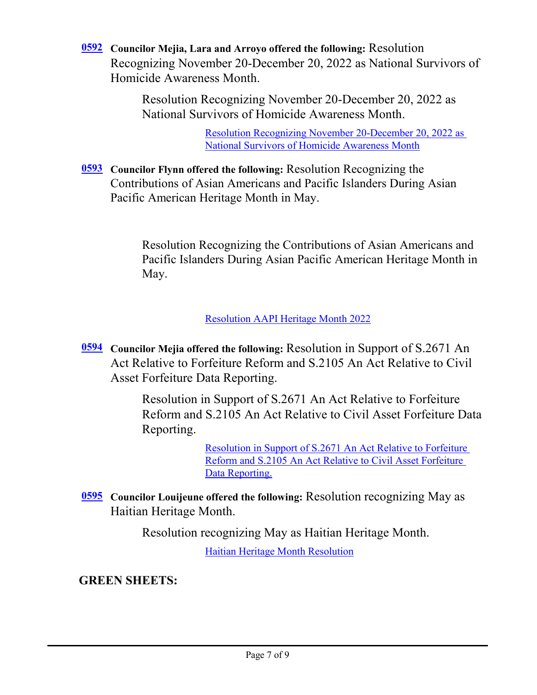**Councilor Mejia, Lara and Arroyo offered the following:** Resolution **[0592](http://boston.legistar.com/gateway.aspx?m=l&id=/matter.aspx?key=5729)** Recognizing November 20-December 20, 2022 as National Survivors of Homicide Awareness Month.

> Resolution Recognizing November 20-December 20, 2022 as National Survivors of Homicide Awareness Month.

> > [Resolution Recognizing November 20-December 20, 2022 as](http://boston.legistar.com/gateway.aspx?M=F&ID=4855d8dd-549e-43fe-84c9-7543cf97d51a.pdf)  National Survivors of Homicide Awareness Month

[0593](http://boston.legistar.com/gateway.aspx?m=l&id=/matter.aspx?key=5726) Councilor Flynn offered the following: Resolution Recognizing the Contributions of Asian Americans and Pacific Islanders During Asian Pacific American Heritage Month in May.

> Resolution Recognizing the Contributions of Asian Americans and Pacific Islanders During Asian Pacific American Heritage Month in May.

> > [Resolution AAPI Heritage Month 2022](http://boston.legistar.com/gateway.aspx?M=F&ID=4c50299a-4f37-4896-8368-3d72a15243b3.pdf)

**Councilor Mejia offered the following:** Resolution in Support of S.2671 An **[0594](http://boston.legistar.com/gateway.aspx?m=l&id=/matter.aspx?key=5722)** Act Relative to Forfeiture Reform and S.2105 An Act Relative to Civil Asset Forfeiture Data Reporting.

> Resolution in Support of S.2671 An Act Relative to Forfeiture Reform and S.2105 An Act Relative to Civil Asset Forfeiture Data Reporting.

> > [Resolution in Support of S.2671 An Act Relative to Forfeiture](http://boston.legistar.com/gateway.aspx?M=F&ID=d49892fc-3b3b-4e94-9091-f05c31102572.pdf)  Reform and S.2105 An Act Relative to Civil Asset Forfeiture Data Reporting.

[0595](http://boston.legistar.com/gateway.aspx?m=l&id=/matter.aspx?key=5709) Councilor Louijeune offered the following: Resolution recognizing May as Haitian Heritage Month.

Resolution recognizing May as Haitian Heritage Month.

[Haitian Heritage Month Resolution](http://boston.legistar.com/gateway.aspx?M=F&ID=e8fbaf2f-ab4c-4ac2-89aa-ab615cb65f14.pdf)

# **GREEN SHEETS:**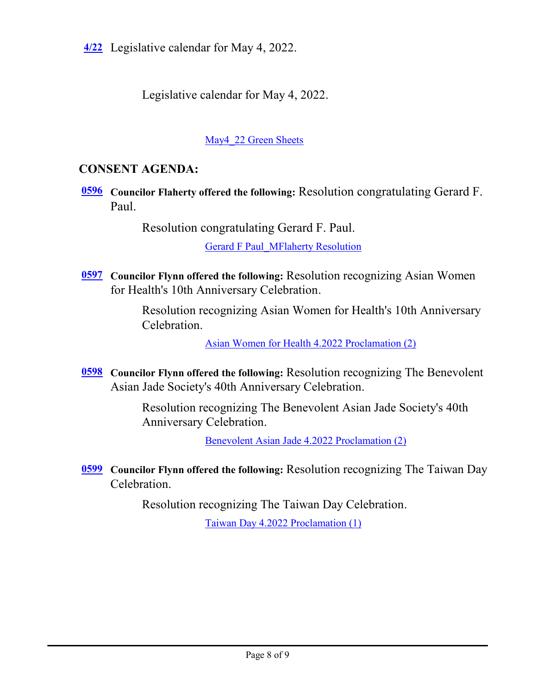**[4/22](http://boston.legistar.com/gateway.aspx?m=l&id=/matter.aspx?key=5731)** Legislative calendar for May 4, 2022.

Legislative calendar for May 4, 2022.

[May4\\_22 Green Sheets](http://boston.legistar.com/gateway.aspx?M=F&ID=a39edf39-9485-48d0-b7ed-99b201ee2587.pdf)

# **CONSENT AGENDA:**

**[0596](http://boston.legistar.com/gateway.aspx?m=l&id=/matter.aspx?key=5712)** Councilor Flaherty offered the following: Resolution congratulating Gerard F. Paul.

Resolution congratulating Gerard F. Paul.

[Gerard F Paul\\_MFlaherty Resolution](http://boston.legistar.com/gateway.aspx?M=F&ID=9374da87-7b0b-4f4c-9c35-c30fc8ef03ef.pdf)

[0597](http://boston.legistar.com/gateway.aspx?m=l&id=/matter.aspx?key=5715) Councilor Flynn offered the following: Resolution recognizing Asian Women for Health's 10th Anniversary Celebration.

> Resolution recognizing Asian Women for Health's 10th Anniversary Celebration.

> > [Asian Women for Health 4.2022 Proclamation \(2\)](http://boston.legistar.com/gateway.aspx?M=F&ID=8ee7a186-4b21-48a3-8128-d5a226f387c6.docx)

[0598](http://boston.legistar.com/gateway.aspx?m=l&id=/matter.aspx?key=5716) Councilor Flynn offered the following: Resolution recognizing The Benevolent Asian Jade Society's 40th Anniversary Celebration.

> Resolution recognizing The Benevolent Asian Jade Society's 40th Anniversary Celebration.

> > [Benevolent Asian Jade 4.2022 Proclamation \(2\)](http://boston.legistar.com/gateway.aspx?M=F&ID=2eb2fae9-c791-452f-8848-ecf2aa7362f7.docx)

**Councilor Flynn offered the following: Resolution recognizing The Taiwan Day** Celebration.

Resolution recognizing The Taiwan Day Celebration.

[Taiwan Day 4.2022 Proclamation \(1\)](http://boston.legistar.com/gateway.aspx?M=F&ID=a17d4dee-1e43-49cd-a8cb-22d08c8a6b7c.docx)